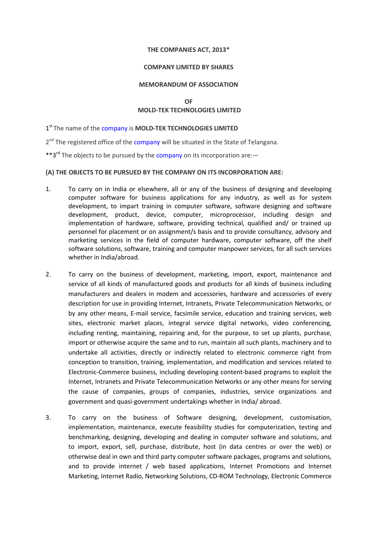### THE COMPANIES ACT, 2013\*

### COMPANY LIMITED BY SHARES

### MEMORANDUM OF ASSOCIATION

## OF MOLD-TEK TECHNOLOGIES LIMITED

1<sup>st</sup> The name of the company is MOLD-TEK TECHNOLOGIES LIMITED

2<sup>nd</sup> The registered office of the company will be situated in the State of Telangana.

\*\*3<sup>rd</sup> The objects to be pursued by the company on its incorporation are:

## (A) THE OBJECTS TO BE PURSUED BY THE COMPANY ON ITS INCORPORATION ARE:

- 1. To carry on in India or elsewhere, all or any of the business of designing and developing computer software for business applications for any industry, as well as for system development, to impart training in computer software, software designing and software development, product, device, computer, microprocessor, including design and implementation of hardware, software, providing technical, qualified and/ or trained up personnel for placement or on assignment/s basis and to provide consultancy, advisory and marketing services in the field of computer hardware, computer software, off the shelf software solutions, software, training and computer manpower services, for all such services whether in India/abroad.
- 2. To carry on the business of development, marketing, import, export, maintenance and service of all kinds of manufactured goods and products for all kinds of business including manufacturers and dealers in modem and accessories, hardware and accessories of every description for use in providing Internet, Intranets, Private Telecommunication Networks, or by any other means, E-mail service, facsimile service, education and training services, web sites, electronic market places, integral service digital networks, video conferencing, including renting, maintaining, repairing and, for the purpose, to set up plants, purchase, import or otherwise acquire the same and to run, maintain all such plants, machinery and to undertake all activities, directly or indirectly related to electronic commerce right from conception to transition, training, implementation, and modification and services related to Electronic-Commerce business, including developing content-based programs to exploit the Internet, Intranets and Private Telecommunication Networks or any other means for serving the cause of companies, groups of companies, industries, service organizations and government and quasi-government undertakings whether in India/ abroad.
- 3. To carry on the business of Software designing, development, customisation, implementation, maintenance, execute feasibility studies for computerization, testing and benchmarking, designing, developing and dealing in computer software and solutions, and to import, export, sell, purchase, distribute, host (in data centres or over the web) or otherwise deal in own and third party computer software packages, programs and solutions, and to provide internet / web based applications, Internet Promotions and Internet Marketing, Internet Radio, Networking Solutions, CD-ROM Technology, Electronic Commerce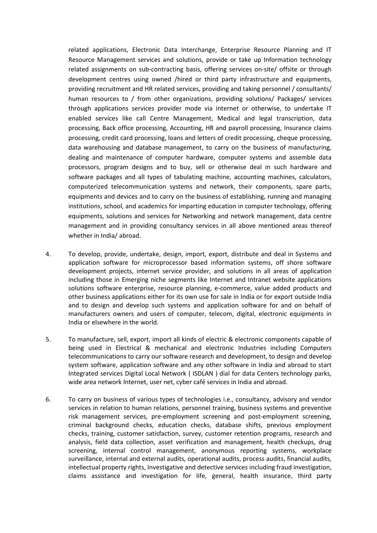related applications, Electronic Data Interchange, Enterprise Resource Planning and IT Resource Management services and solutions, provide or take up Information technology related assignments on sub-contracting basis, offering services on-site/ offsite or through development centres using owned /hired or third party infrastructure and equipments, providing recruitment and HR related services, providing and taking personnel / consultants/ human resources to / from other organizations, providing solutions/ Packages/ services through applications services provider mode via internet or otherwise, to undertake IT enabled services like call Centre Management, Medical and legal transcription, data processing, Back office processing, Accounting, HR and payroll processing, Insurance claims processing, credit card processing, loans and letters of credit processing, cheque processing, data warehousing and database management, to carry on the business of manufacturing, dealing and maintenance of computer hardware, computer systems and assemble data processors, program designs and to buy, sell or otherwise deal in such hardware and software packages and all types of tabulating machine, accounting machines, calculators, computerized telecommunication systems and network, their components, spare parts, equipments and devices and to carry on the business of establishing, running and managing institutions, school, and academics for imparting education in computer technology, offering equipments, solutions and services for Networking and network management, data centre management and in providing consultancy services in all above mentioned areas thereof whether in India/ abroad.

- 4. To develop, provide, undertake, design, import, export, distribute and deal in Systems and application software for microprocessor based information systems, off shore software development projects, internet service provider, and solutions in all areas of application including those in Emerging niche segments like Internet and Intranet website applications solutions software enterprise, resource planning, e-commerce, value added products and other business applications either for its own use for sale in India or for export outside India and to design and develop such systems and application software for and on behalf of manufacturers owners and users of computer, telecom, digital, electronic equipments in India or elsewhere in the world.
- 5. To manufacture, sell, export, import all kinds of electric & electronic components capable of being used in Electrical & mechanical and electronic Industries including Computers telecommunications to carry our software research and development, to design and develop system software, application software and any other software in India and abroad to start Integrated services Digital Local Network ( ISDLAN ) dial for data Centers technology parks, wide area network Internet, user net, cyber café services in India and abroad.
- 6. To carry on business of various types of technologies i.e., consultancy, advisory and vendor services in relation to human relations, personnel training, business systems and preventive risk management services, pre-employment screening and post-employment screening, criminal background checks, education checks, database shifts, previous employment checks, training, customer satisfaction, survey, customer retention programs, research and analysis, field data collection, asset verification and management, health checkups, drug screening, internal control management, anonymous reporting systems, workplace surveillance, internal and external audits, operational audits, process audits, financial audits, intellectual property rights, Investigative and detective services including fraud investigation, claims assistance and investigation for life, general, health insurance, third party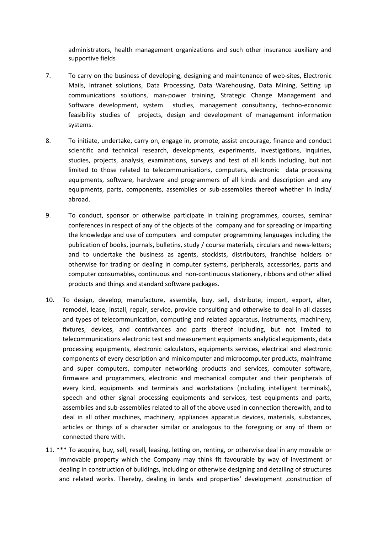administrators, health management organizations and such other insurance auxiliary and supportive fields

- 7. To carry on the business of developing, designing and maintenance of web-sites, Electronic Mails, Intranet solutions, Data Processing, Data Warehousing, Data Mining, Setting up communications solutions, man-power training, Strategic Change Management and Software development, system studies, management consultancy, techno-economic feasibility studies of projects, design and development of management information systems.
- 8. To initiate, undertake, carry on, engage in, promote, assist encourage, finance and conduct scientific and technical research, developments, experiments, investigations, inquiries, studies, projects, analysis, examinations, surveys and test of all kinds including, but not limited to those related to telecommunications, computers, electronic data processing equipments, software, hardware and programmers of all kinds and description and any equipments, parts, components, assemblies or sub-assemblies thereof whether in India/ abroad.
- 9. To conduct, sponsor or otherwise participate in training programmes, courses, seminar conferences in respect of any of the objects of the company and for spreading or imparting the knowledge and use of computers and computer programming languages including the publication of books, journals, bulletins, study / course materials, circulars and news-letters; and to undertake the business as agents, stockists, distributors, franchise holders or otherwise for trading or dealing in computer systems, peripherals, accessories, parts and computer consumables, continuous and non-continuous stationery, ribbons and other allied products and things and standard software packages.
- 10. To design, develop, manufacture, assemble, buy, sell, distribute, import, export, alter, remodel, lease, install, repair, service, provide consulting and otherwise to deal in all classes and types of telecommunication, computing and related apparatus, instruments, machinery, fixtures, devices, and contrivances and parts thereof including, but not limited to telecommunications electronic test and measurement equipments analytical equipments, data processing equipments, electronic calculators, equipments services, electrical and electronic components of every description and minicomputer and microcomputer products, mainframe and super computers, computer networking products and services, computer software, firmware and programmers, electronic and mechanical computer and their peripherals of every kind, equipments and terminals and workstations (including intelligent terminals), speech and other signal processing equipments and services, test equipments and parts, assemblies and sub-assemblies related to all of the above used in connection therewith, and to deal in all other machines, machinery, appliances apparatus devices, materials, substances, articles or things of a character similar or analogous to the foregoing or any of them or connected there with.
- 11. \*\*\* To acquire, buy, sell, resell, leasing, letting on, renting, or otherwise deal in any movable or immovable property which the Company may think fit favourable by way of investment or dealing in construction of buildings, including or otherwise designing and detailing of structures and related works. Thereby, dealing in lands and properties' development ,construction of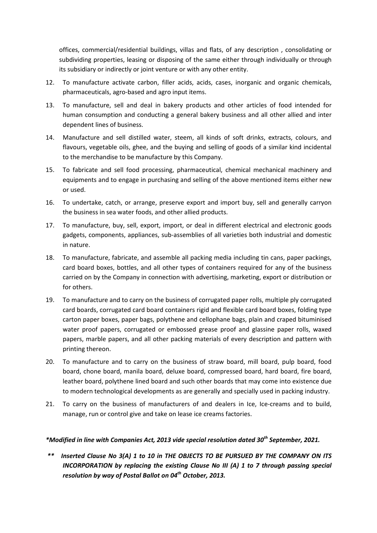offices, commercial/residential buildings, villas and flats, of any description , consolidating or subdividing properties, leasing or disposing of the same either through individually or through its subsidiary or indirectly or joint venture or with any other entity.

- 12. To manufacture activate carbon, filler acids, acids, cases, inorganic and organic chemicals, pharmaceuticals, agro-based and agro input items.
- 13. To manufacture, sell and deal in bakery products and other articles of food intended for human consumption and conducting a general bakery business and all other allied and inter dependent lines of business.
- 14. Manufacture and sell distilled water, steem, all kinds of soft drinks, extracts, colours, and flavours, vegetable oils, ghee, and the buying and selling of goods of a similar kind incidental to the merchandise to be manufacture by this Company.
- 15. To fabricate and sell food processing, pharmaceutical, chemical mechanical machinery and equipments and to engage in purchasing and selling of the above mentioned items either new or used.
- 16. To undertake, catch, or arrange, preserve export and import buy, sell and generally carryon the business in sea water foods, and other allied products.
- 17. To manufacture, buy, sell, export, import, or deal in different electrical and electronic goods gadgets, components, appliances, sub-assemblies of all varieties both industrial and domestic in nature.
- 18. To manufacture, fabricate, and assemble all packing media including tin cans, paper packings, card board boxes, bottles, and all other types of containers required for any of the business carried on by the Company in connection with advertising, marketing, export or distribution or for others.
- 19. To manufacture and to carry on the business of corrugated paper rolls, multiple ply corrugated card boards, corrugated card board containers rigid and flexible card board boxes, folding type carton paper boxes, paper bags, polythene and cellophane bags, plain and craped bituminised water proof papers, corrugated or embossed grease proof and glassine paper rolls, waxed papers, marble papers, and all other packing materials of every description and pattern with printing thereon.
- 20. To manufacture and to carry on the business of straw board, mill board, pulp board, food board, chone board, manila board, deluxe board, compressed board, hard board, fire board, leather board, polythene lined board and such other boards that may come into existence due to modern technological developments as are generally and specially used in packing industry.
- 21. To carry on the business of manufacturers of and dealers in Ice, Ice-creams and to build, manage, run or control give and take on lease ice creams factories.

# \*Modified in line with Companies Act, 2013 vide special resolution dated 30<sup>th</sup> September, 2021.

 \*\* Inserted Clause No 3(A) 1 to 10 in THE OBJECTS TO BE PURSUED BY THE COMPANY ON ITS INCORPORATION by replacing the existing Clause No III (A) 1 to 7 through passing special resolution by way of Postal Ballot on  $04^{th}$  October, 2013.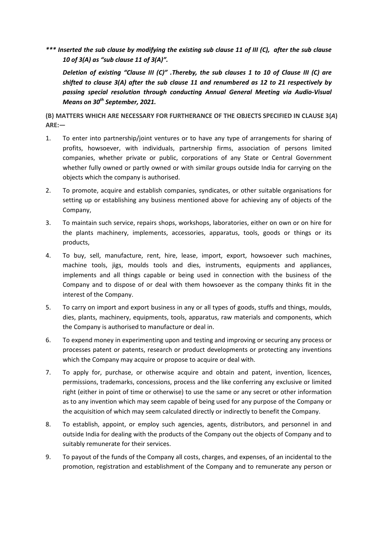\*\*\* Inserted the sub clause by modifying the existing sub clause 11 of III (C), after the sub clause 10 of 3(A) as "sub clause 11 of 3(A)".

 Deletion of existing "Clause III (C)" .Thereby, the sub clauses 1 to 10 of Clause III (C) are shifted to clause 3(A) after the sub clause 11 and renumbered as 12 to 21 respectively by passing special resolution through conducting Annual General Meeting via Audio-Visual Means on  $30<sup>th</sup>$  September, 2021.

(B) MATTERS WHICH ARE NECESSARY FOR FURTHERANCE OF THE OBJECTS SPECIFIED IN CLAUSE 3(A) ARE:—

- 1. To enter into partnership/joint ventures or to have any type of arrangements for sharing of profits, howsoever, with individuals, partnership firms, association of persons limited companies, whether private or public, corporations of any State or Central Government whether fully owned or partly owned or with similar groups outside India for carrying on the objects which the company is authorised.
- 2. To promote, acquire and establish companies, syndicates, or other suitable organisations for setting up or establishing any business mentioned above for achieving any of objects of the Company,
- 3. To maintain such service, repairs shops, workshops, laboratories, either on own or on hire for the plants machinery, implements, accessories, apparatus, tools, goods or things or its products,
- 4. To buy, sell, manufacture, rent, hire, lease, import, export, howsoever such machines, machine tools, jigs, moulds tools and dies, instruments, equipments and appliances, implements and all things capable or being used in connection with the business of the Company and to dispose of or deal with them howsoever as the company thinks fit in the interest of the Company.
- 5. To carry on import and export business in any or all types of goods, stuffs and things, moulds, dies, plants, machinery, equipments, tools, apparatus, raw materials and components, which the Company is authorised to manufacture or deal in.
- 6. To expend money in experimenting upon and testing and improving or securing any process or processes patent or patents, research or product developments or protecting any inventions which the Company may acquire or propose to acquire or deal with.
- 7. To apply for, purchase, or otherwise acquire and obtain and patent, invention, licences, permissions, trademarks, concessions, process and the like conferring any exclusive or limited right (either in point of time or otherwise) to use the same or any secret or other information as to any invention which may seem capable of being used for any purpose of the Company or the acquisition of which may seem calculated directly or indirectly to benefit the Company.
- 8. To establish, appoint, or employ such agencies, agents, distributors, and personnel in and outside India for dealing with the products of the Company out the objects of Company and to suitably remunerate for their services.
- 9. To payout of the funds of the Company all costs, charges, and expenses, of an incidental to the promotion, registration and establishment of the Company and to remunerate any person or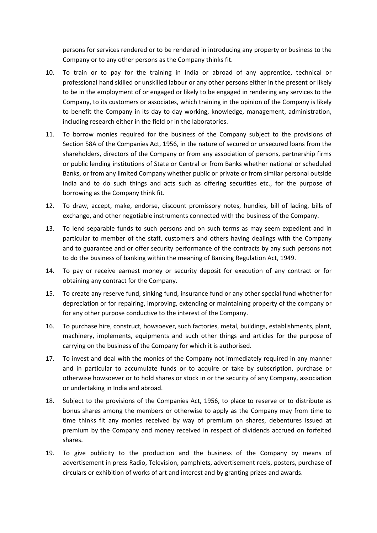persons for services rendered or to be rendered in introducing any property or business to the Company or to any other persons as the Company thinks fit.

- 10. To train or to pay for the training in India or abroad of any apprentice, technical or professional hand skilled or unskilled labour or any other persons either in the present or likely to be in the employment of or engaged or likely to be engaged in rendering any services to the Company, to its customers or associates, which training in the opinion of the Company is likely to benefit the Company in its day to day working, knowledge, management, administration, including research either in the field or in the laboratories.
- 11. To borrow monies required for the business of the Company subject to the provisions of Section 58A of the Companies Act, 1956, in the nature of secured or unsecured loans from the shareholders, directors of the Company or from any association of persons, partnership firms or public lending institutions of State or Central or from Banks whether national or scheduled Banks, or from any limited Company whether public or private or from similar personal outside India and to do such things and acts such as offering securities etc., for the purpose of borrowing as the Company think fit.
- 12. To draw, accept, make, endorse, discount promissory notes, hundies, bill of lading, bills of exchange, and other negotiable instruments connected with the business of the Company.
- 13. To lend separable funds to such persons and on such terms as may seem expedient and in particular to member of the staff, customers and others having dealings with the Company and to guarantee and or offer security performance of the contracts by any such persons not to do the business of banking within the meaning of Banking Regulation Act, 1949.
- 14. To pay or receive earnest money or security deposit for execution of any contract or for obtaining any contract for the Company.
- 15. To create any reserve fund, sinking fund, insurance fund or any other special fund whether for depreciation or for repairing, improving, extending or maintaining property of the company or for any other purpose conductive to the interest of the Company.
- 16. To purchase hire, construct, howsoever, such factories, metal, buildings, establishments, plant, machinery, implements, equipments and such other things and articles for the purpose of carrying on the business of the Company for which it is authorised.
- 17. To invest and deal with the monies of the Company not immediately required in any manner and in particular to accumulate funds or to acquire or take by subscription, purchase or otherwise howsoever or to hold shares or stock in or the security of any Company, association or undertaking in India and abroad.
- 18. Subject to the provisions of the Companies Act, 1956, to place to reserve or to distribute as bonus shares among the members or otherwise to apply as the Company may from time to time thinks fit any monies received by way of premium on shares, debentures issued at premium by the Company and money received in respect of dividends accrued on forfeited shares.
- 19. To give publicity to the production and the business of the Company by means of advertisement in press Radio, Television, pamphlets, advertisement reels, posters, purchase of circulars or exhibition of works of art and interest and by granting prizes and awards.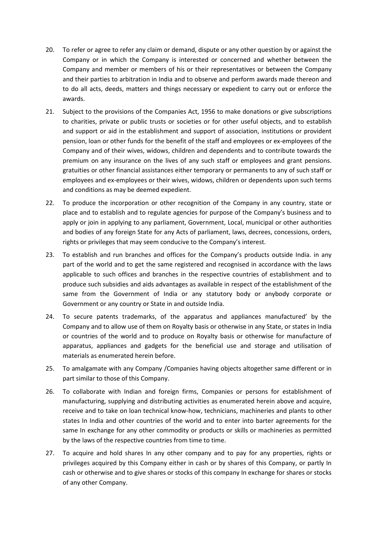- 20. To refer or agree to refer any claim or demand, dispute or any other question by or against the Company or in which the Company is interested or concerned and whether between the Company and member or members of his or their representatives or between the Company and their parties to arbitration in India and to observe and perform awards made thereon and to do all acts, deeds, matters and things necessary or expedient to carry out or enforce the awards.
- 21. Subject to the provisions of the Companies Act, 1956 to make donations or give subscriptions to charities, private or public trusts or societies or for other useful objects, and to establish and support or aid in the establishment and support of association, institutions or provident pension, loan or other funds for the benefit of the staff and employees or ex-employees of the Company and of their wives, widows, children and dependents and to contribute towards the premium on any insurance on the lives of any such staff or employees and grant pensions. gratuities or other financial assistances either temporary or permanents to any of such staff or employees and ex-employees or their wives, widows, children or dependents upon such terms and conditions as may be deemed expedient.
- 22. To produce the incorporation or other recognition of the Company in any country, state or place and to establish and to regulate agencies for purpose of the Company's business and to apply or join in applying to any parliament, Government, Local, municipal or other authorities and bodies of any foreign State for any Acts of parliament, laws, decrees, concessions, orders, rights or privileges that may seem conducive to the Company's interest.
- 23. To establish and run branches and offices for the Company's products outside India. in any part of the world and to get the same registered and recognised in accordance with the laws applicable to such offices and branches in the respective countries of establishment and to produce such subsidies and aids advantages as available in respect of the establishment of the same from the Government of India or any statutory body or anybody corporate or Government or any country or State in and outside India.
- 24. To secure patents trademarks, of the apparatus and appliances manufactured' by the Company and to allow use of them on Royalty basis or otherwise in any State, or states in India or countries of the world and to produce on Royalty basis or otherwise for manufacture of apparatus, appliances and gadgets for the beneficial use and storage and utilisation of materials as enumerated herein before.
- 25. To amalgamate with any Company /Companies having objects altogether same different or in part similar to those of this Company.
- 26. To collaborate with Indian and foreign firms, Companies or persons for establishment of manufacturing, supplying and distributing activities as enumerated herein above and acquire, receive and to take on loan technical know-how, technicians, machineries and plants to other states In India and other countries of the world and to enter into barter agreements for the same In exchange for any other commodity or products or skills or machineries as permitted by the laws of the respective countries from time to time.
- 27. To acquire and hold shares In any other company and to pay for any properties, rights or privileges acquired by this Company either in cash or by shares of this Company, or partly In cash or otherwise and to give shares or stocks of this company In exchange for shares or stocks of any other Company.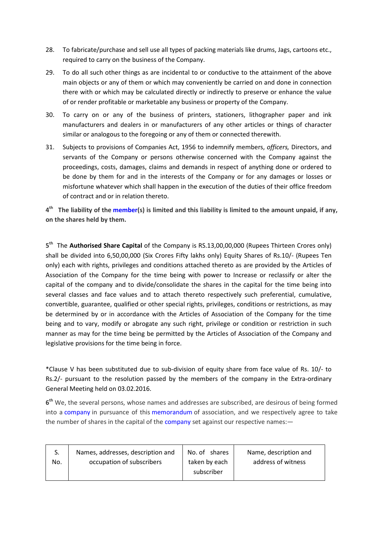- 28. To fabricate/purchase and sell use all types of packing materials like drums, Jags, cartoons etc., required to carry on the business of the Company.
- 29. To do all such other things as are incidental to or conductive to the attainment of the above main objects or any of them or which may conveniently be carried on and done in connection there with or which may be calculated directly or indirectly to preserve or enhance the value of or render profitable or marketable any business or property of the Company.
- 30. To carry on or any of the business of printers, stationers, lithographer paper and ink manufacturers and dealers in or manufacturers of any other articles or things of character similar or analogous to the foregoing or any of them or connected therewith.
- 31. Subjects to provisions of Companies Act, 1956 to indemnify members, officers, Directors, and servants of the Company or persons otherwise concerned with the Company against the proceedings, costs, damages, claims and demands in respect of anything done or ordered to be done by them for and in the interests of the Company or for any damages or losses or misfortune whatever which shall happen in the execution of the duties of their office freedom of contract and or in relation thereto.

4<sup>th</sup> The liability of the member(s) is limited and this liability is limited to the amount unpaid, if any, on the shares held by them.

5<sup>th</sup> The **Authorised Share Capital** of the Company is RS.13,00,00,000 (Rupees Thirteen Crores only) shall be divided into 6,50,00,000 (Six Crores Fifty lakhs only) Equity Shares of Rs.10/- (Rupees Ten only) each with rights, privileges and conditions attached thereto as are provided by the Articles of Association of the Company for the time being with power to Increase or reclassify or alter the capital of the company and to divide/consolidate the shares in the capital for the time being into several classes and face values and to attach thereto respectively such preferential, cumulative, convertible, guarantee, qualified or other special rights, privileges, conditions or restrictions, as may be determined by or in accordance with the Articles of Association of the Company for the time being and to vary, modify or abrogate any such right, privilege or condition or restriction in such manner as may for the time being be permitted by the Articles of Association of the Company and legislative provisions for the time being in force.

\*Clause V has been substituted due to sub-division of equity share from face value of Rs. 10/- to Rs.2/- pursuant to the resolution passed by the members of the company in the Extra-ordinary General Meeting held on 03.02.2016.

6<sup>th</sup> We, the several persons, whose names and addresses are subscribed, are desirous of being formed into a company in pursuance of this memorandum of association, and we respectively agree to take the number of shares in the capital of the company set against our respective names:—

| No. | Names, addresses, description and | No. of shares | Name, description and |
|-----|-----------------------------------|---------------|-----------------------|
|     | occupation of subscribers         | taken by each | address of witness    |
|     |                                   | subscriber    |                       |